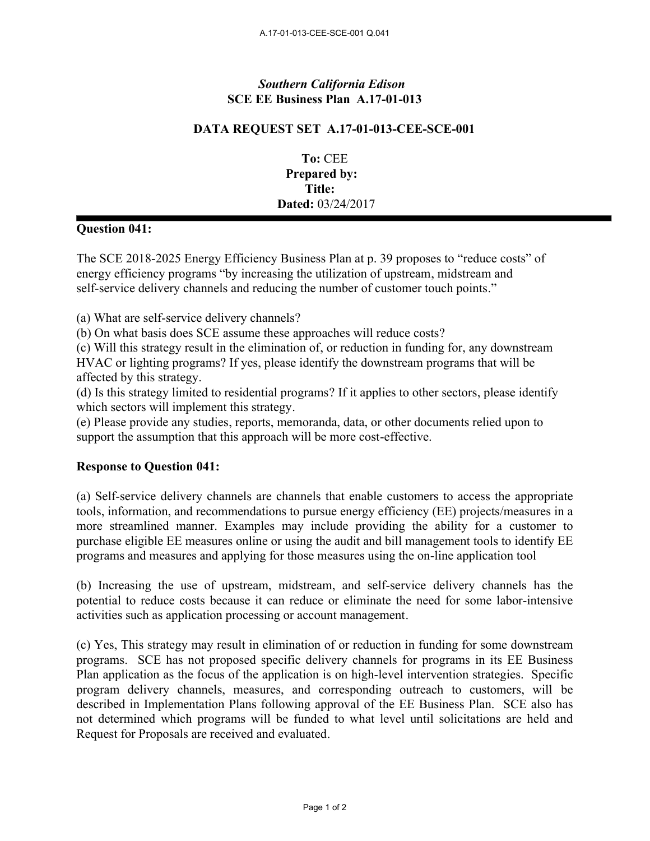## *Southern California Edison* **SCE EE Business Plan A.17-01-013**

## **DATA REQUEST SET A.17-01-013-CEE-SCE-001**

**To:** CEE **Prepared by: Title: Dated:** 03/24/2017

## **Question 041:**

The SCE 2018-2025 Energy Efficiency Business Plan at p. 39 proposes to "reduce costs" of energy efficiency programs "by increasing the utilization of upstream, midstream and self-service delivery channels and reducing the number of customer touch points."

(a) What are self-service delivery channels?

(b) On what basis does SCE assume these approaches will reduce costs?

(c) Will this strategy result in the elimination of, or reduction in funding for, any downstream HVAC or lighting programs? If yes, please identify the downstream programs that will be affected by this strategy.

(d) Is this strategy limited to residential programs? If it applies to other sectors, please identify which sectors will implement this strategy.

(e) Please provide any studies, reports, memoranda, data, or other documents relied upon to support the assumption that this approach will be more cost-effective.

## **Response to Question 041:**

(a) Self-service delivery channels are channels that enable customers to access the appropriate tools, information, and recommendations to pursue energy efficiency (EE) projects/measures in a more streamlined manner. Examples may include providing the ability for a customer to purchase eligible EE measures online or using the audit and bill management tools to identify EE programs and measures and applying for those measures using the on-line application tool

(b) Increasing the use of upstream, midstream, and self-service delivery channels has the potential to reduce costs because it can reduce or eliminate the need for some labor-intensive activities such as application processing or account management.

(c) Yes, This strategy may result in elimination of or reduction in funding for some downstream programs. SCE has not proposed specific delivery channels for programs in its EE Business Plan application as the focus of the application is on high-level intervention strategies. Specific program delivery channels, measures, and corresponding outreach to customers, will be described in Implementation Plans following approval of the EE Business Plan. SCE also has not determined which programs will be funded to what level until solicitations are held and Request for Proposals are received and evaluated.